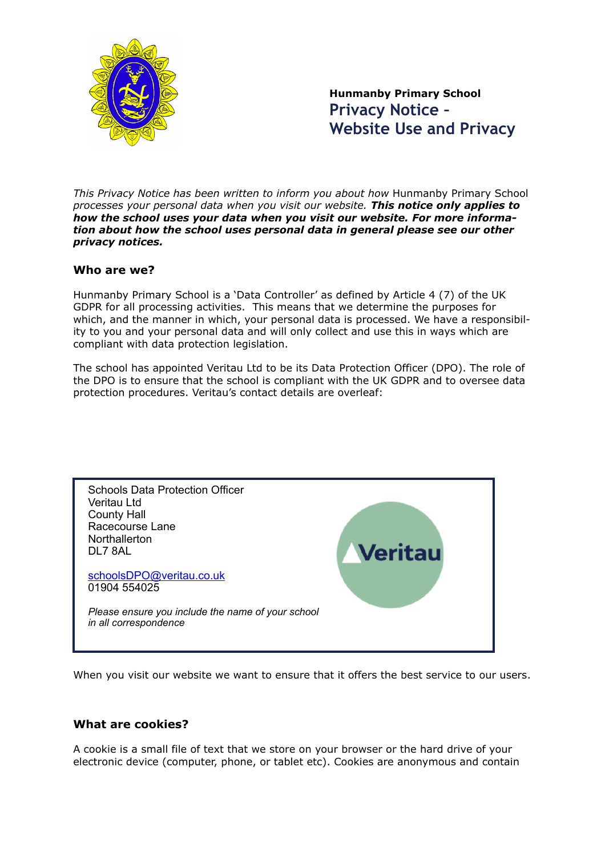

**Hunmanby Primary School Privacy Notice – Website Use and Privacy**

*This Privacy Notice has been written to inform you about how* Hunmanby Primary School *processes your personal data when you visit our website. This notice only applies to how the school uses your data when you visit our website. For more information about how the school uses personal data in general please see our other privacy notices.*

#### **Who are we?**

Hunmanby Primary School is a 'Data Controller' as defined by Article 4 (7) of the UK GDPR for all processing activities. This means that we determine the purposes for which, and the manner in which, your personal data is processed. We have a responsibility to you and your personal data and will only collect and use this in ways which are compliant with data protection legislation.

The school has appointed Veritau Ltd to be its Data Protection Officer (DPO). The role of the DPO is to ensure that the school is compliant with the UK GDPR and to oversee data protection procedures. Veritau's contact details are overleaf:



When you visit our website we want to ensure that it offers the best service to our users.

#### **What are cookies?**

A cookie is a small file of text that we store on your browser or the hard drive of your electronic device (computer, phone, or tablet etc). Cookies are anonymous and contain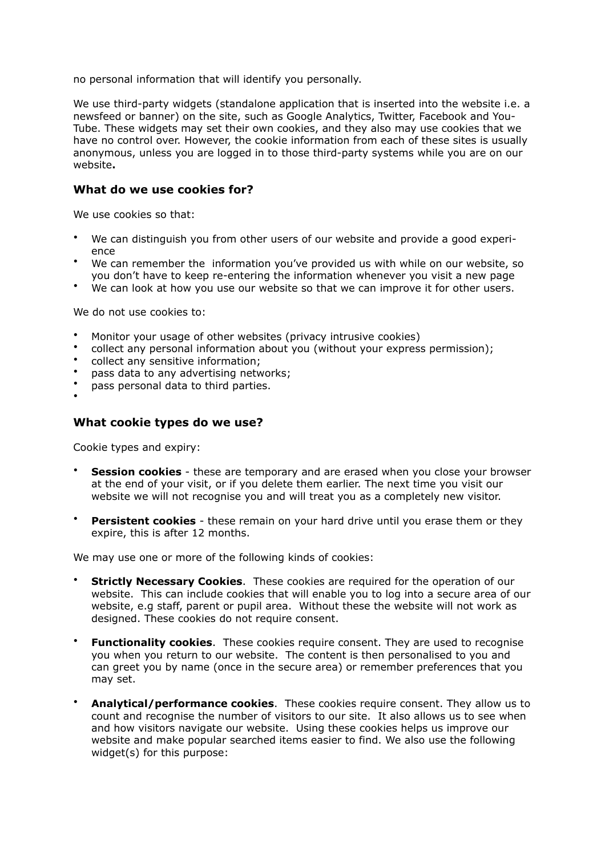no personal information that will identify you personally.

We use third-party widgets (standalone application that is inserted into the website i.e. a newsfeed or banner) on the site, such as Google Analytics, Twitter, Facebook and You-Tube. These widgets may set their own cookies, and they also may use cookies that we have no control over. However, the cookie information from each of these sites is usually anonymous, unless you are logged in to those third-party systems while you are on our website**.**

#### **What do we use cookies for?**

We use cookies so that:

- We can distinguish you from other users of our website and provide a good experience
- We can remember the information you've provided us with while on our website, so you don't have to keep re-entering the information whenever you visit a new page
- We can look at how you use our website so that we can improve it for other users.

We do not use cookies to:

- Monitor your usage of other websites (privacy intrusive cookies)
- collect any personal information about you (without your express permission);
- collect any sensitive information;
- pass data to any advertising networks;
- pass personal data to third parties.

# •

#### **What cookie types do we use?**

Cookie types and expiry:

- **Session cookies** these are temporary and are erased when you close your browser at the end of your visit, or if you delete them earlier. The next time you visit our website we will not recognise you and will treat you as a completely new visitor.
- **Persistent cookies** these remain on your hard drive until you erase them or they expire, this is after 12 months.

We may use one or more of the following kinds of cookies:

- **Strictly Necessary Cookies**. These cookies are required for the operation of our website. This can include cookies that will enable you to log into a secure area of our website, e.g staff, parent or pupil area. Without these the website will not work as designed. These cookies do not require consent.
- **Functionality cookies**. These cookies require consent. They are used to recognise you when you return to our website. The content is then personalised to you and can greet you by name (once in the secure area) or remember preferences that you may set.
- **Analytical/performance cookies**. These cookies require consent. They allow us to count and recognise the number of visitors to our site. It also allows us to see when and how visitors navigate our website. Using these cookies helps us improve our website and make popular searched items easier to find. We also use the following widget(s) for this purpose: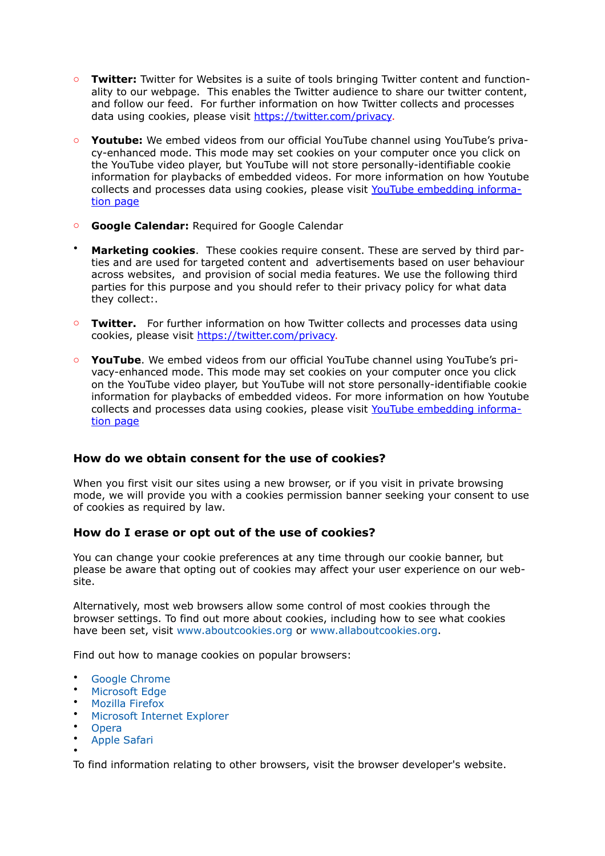- o **Twitter:** Twitter for Websites is a suite of tools bringing Twitter content and functionality to our webpage. This enables the Twitter audience to share our twitter content, and follow our feed. For further information on how Twitter collects and processes data using cookies, please visit [https://twitter.com/privacy.](https://twitter.com/privacy)
- o **Youtube:** We embed videos from our official YouTube channel using YouTube's privacy-enhanced mode. This mode may set cookies on your computer once you click on the YouTube video player, but YouTube will not store personally-identifiable cookie information for playbacks of embedded videos. For more information on how Youtube collects and processes data using cookies, please visit [YouTube embedding informa](http://www.google.com/support/youtube/bin/answer.py?hl=en-GB&answer=171780)[tion page](http://www.google.com/support/youtube/bin/answer.py?hl=en-GB&answer=171780)
- o **Google Calendar:** Required for Google Calendar
- **Marketing cookies**. These cookies require consent. These are served by third parties and are used for targeted content and advertisements based on user behaviour across websites, and provision of social media features. We use the following third parties for this purpose and you should refer to their privacy policy for what data they collect:.
- o **Twitter.** For further information on how Twitter collects and processes data using cookies, please visit [https://twitter.com/privacy.](https://twitter.com/privacy)
- o **YouTube**. We embed videos from our official YouTube channel using YouTube's privacy-enhanced mode. This mode may set cookies on your computer once you click on the YouTube video player, but YouTube will not store personally-identifiable cookie information for playbacks of embedded videos. For more information on how Youtube collects and processes data using cookies, please visit [YouTube embedding informa](http://www.google.com/support/youtube/bin/answer.py?hl=en-GB&answer=171780)[tion page](http://www.google.com/support/youtube/bin/answer.py?hl=en-GB&answer=171780)

#### **How do we obtain consent for the use of cookies?**

When you first visit our sites using a new browser, or if you visit in private browsing mode, we will provide you with a cookies permission banner seeking your consent to use of cookies as required by law.

#### **How do I erase or opt out of the use of cookies?**

You can change your cookie preferences at any time through our cookie banner, but please be aware that opting out of cookies may affect your user experience on our website.

Alternatively, most web browsers allow some control of most cookies through the browser settings. To find out more about cookies, including how to see what cookies have been set, visit [www.aboutcookies.org](http://www.aboutcookies.org/) or [www.allaboutcookies.org](http://www.allaboutcookies.org/).

Find out how to manage cookies on popular browsers:

- [Google Chrome](https://support.google.com/accounts/answer/61416?co=GENIE.Platform%2525253DDesktop&hl=en)
- [Microsoft Edge](https://privacy.microsoft.com/en-us/windows-10-microsoft-edge-and-privacy)
- [Mozilla Firefox](https://support.mozilla.org/en-US/kb/enable-and-disable-cookies-website-preferences)
- [Microsoft Internet Explorer](https://support.microsoft.com/en-gb/help/17442/windows-internet-explorer-delete-manage-cookies)
- **[Opera](https://www.opera.com/help/tutorials/security/privacy/)**
- [Apple Safari](https://support.apple.com/en-gb/safari)

•

To find information relating to other browsers, visit the browser developer's website.